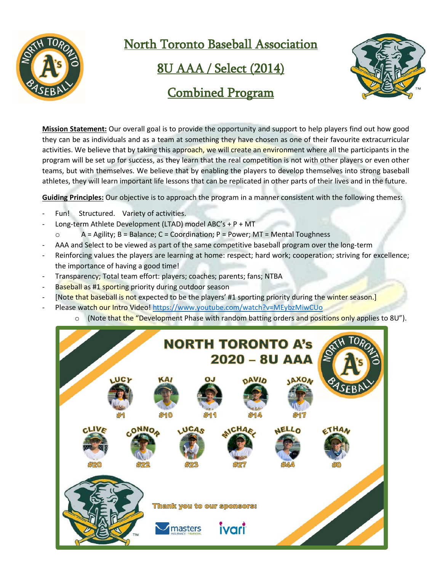

North Toronto Baseball Association

8U AAA / Select (2014)



# Combined Program

**Mission Statement:** Our overall goal is to provide the opportunity and support to help players find out how good they can be as individuals and as a team at something they have chosen as one of their favourite extracurricular activities. We believe that by taking this approach, we will create an environment where all the participants in the program will be set up for success, as they learn that the real competition is not with other players or even other teams, but with themselves. We believe that by enabling the players to develop themselves into strong baseball athletes, they will learn important life lessons that can be replicated in other parts of their lives and in the future.

**Guiding Principles:** Our objective is to approach the program in a manner consistent with the following themes:

- Fun! Structured. Variety of activities.
- Long-term Athlete Development (LTAD) model ABC's + P + MT
- $\circ$  A = Agility; B = Balance; C = Coordination; P = Power; MT = Mental Toughness
- AAA and Select to be viewed as part of the same competitive baseball program over the long-term
- Reinforcing values the players are learning at home: respect; hard work; cooperation; striving for excellence; the importance of having a good time!
- Transparency; Total team effort: players; coaches; parents; fans; NTBA
- Baseball as #1 sporting priority during outdoor season
- [Note that baseball is not expected to be the players' #1 sporting priority during the winter season.]
	- Please watch our Intro Video[! https://www.youtube.com/watch?v=MEybzMiwCUo](https://www.youtube.com/watch?v=MEybzMiwCUo)
		- (Note that the "Development Phase with random batting orders and positions only applies to 8U").

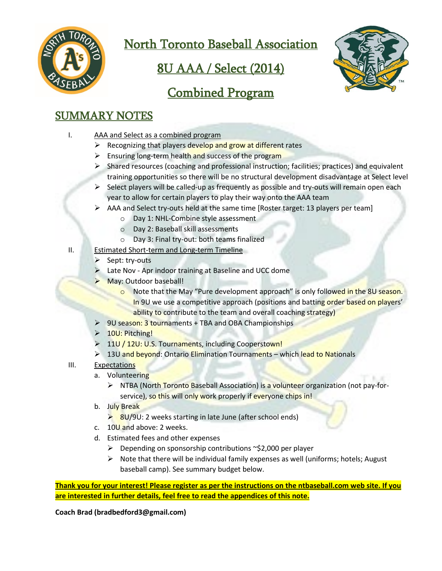

North Toronto Baseball Association

# 8U AAA / Select (2014)



# Combined Program

## SUMMARY NOTES

- I. AAA and Select as a combined program
	- $\triangleright$  Recognizing that players develop and grow at different rates
	- $\triangleright$  Ensuring long-term health and success of the program
	- $\triangleright$  Shared resources (coaching and professional instruction; facilities; practices) and equivalent training opportunities so there will be no structural development disadvantage at Select level
	- $\triangleright$  Select players will be called-up as frequently as possible and try-outs will remain open each year to allow for certain players to play their way onto the AAA team
	- $\triangleright$  AAA and Select try-outs held at the same time [Roster target: 13 players per team]
		- o Day 1: NHL-Combine style assessment
		- o Day 2: Baseball skill assessments
		- o Day 3: Final try-out: both teams finalized
- II. Estimated Short-term and Long-term Timeline
	- $\triangleright$  Sept: try-outs
	- Late Nov Apr indoor training at Baseline and UCC dome
	- > May: Outdoor baseball!
		- o Note that the May "Pure development approach" is only followed in the 8U season. In 9U we use a competitive approach (positions and batting order based on players' ability to contribute to the team and overall coaching strategy)
	- ▶ 9U season: 3 tournaments + TBA and OBA Championships
	- > 10U: Pitching!
	- > 11U / 12U: U.S. Tournaments, including Cooperstown!
	- ▶ 13U and beyond: Ontario Elimination Tournaments which lead to Nationals
- III. Expectations
	- a. Volunteering
		- $\triangleright$  NTBA (North Toronto Baseball Association) is a volunteer organization (not pay-forservice), so this will only work properly if everyone chips in!
	- b. July Break
		- $\geq$  8U/9U: 2 weeks starting in late June (after school ends)
	- c.  $10<sup>U</sup>$  and above: 2 weeks.
	- d. Estimated fees and other expenses
		- $\triangleright$  Depending on sponsorship contributions ~\$2,000 per player
		- $\triangleright$  Note that there will be individual family expenses as well (uniforms; hotels; August baseball camp). See summary budget below.

**Thank you for your interest! Please register as per the instructions on the ntbaseball.com web site. If you are interested in further details, feel free to read the appendices of this note.**

**Coach Brad (bradbedford3@gmail.com)**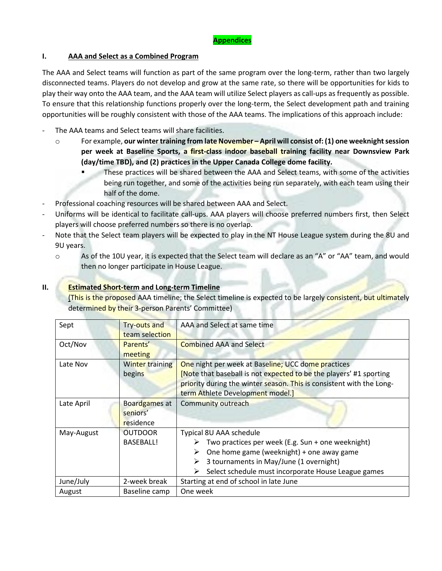### **I. AAA and Select as a Combined Program**

The AAA and Select teams will function as part of the same program over the long-term, rather than two largely disconnected teams. Players do not develop and grow at the same rate, so there will be opportunities for kids to play their way onto the AAA team, and the AAA team will utilize Select players as call-ups as frequently as possible. To ensure that this relationship functions properly over the long-term, the Select development path and training opportunities will be roughly consistent with those of the AAA teams. The implications of this approach include:

- The AAA teams and Select teams will share facilities.
	- o For example, **our winter training from late November – April will consist of: (1) one weeknight session per week at Baseline Sports, a first-class indoor baseball training facility near Downsview Park (day/time TBD), and (2) practices in the Upper Canada College dome facility.**
		- These practices will be shared between the AAA and Select teams, with some of the activities being run together, and some of the activities being run separately, with each team using their half of the dome.
- Professional coaching resources will be shared between AAA and Select.
- Uniforms will be identical to facilitate call-ups. AAA players will choose preferred numbers first, then Select players will choose preferred numbers so there is no overlap.
- Note that the Select team players will be expected to play in the NT House League system during the 8U and 9U years.
	- o As of the 10U year, it is expected that the Select team will declare as an "A" or "AA" team, and would then no longer participate in House League.

### **II. Estimated Short-term and Long-term Timeline**

(This is the proposed AAA timeline; the Select timeline is expected to be largely consistent, but ultimately determined by their 3-person Parents' Committee)

| Sept       | Try-outs and<br>team selection         | AAA and Select at same time                                                                                                                                                                                                                     |  |  |
|------------|----------------------------------------|-------------------------------------------------------------------------------------------------------------------------------------------------------------------------------------------------------------------------------------------------|--|--|
| Oct/Nov    | Parents'<br>meeting                    | <b>Combined AAA and Select</b>                                                                                                                                                                                                                  |  |  |
| Late Nov   | <b>Winter training</b><br>begins       | One night per week at Baseline; UCC dome practices<br>[Note that baseball is not expected to be the players' #1 sporting<br>priority during the winter season. This is consistent with the Long-<br>term Athlete Development model.]            |  |  |
| Late April | Boardgames at<br>seniors'<br>residence | Community outreach                                                                                                                                                                                                                              |  |  |
| May-August | <b>OUTDOOR</b><br><b>BASEBALL!</b>     | Typical 8U AAA schedule<br>Two practices per week (E.g. Sun + one weeknight)<br>➤<br>One home game (weeknight) + one away game<br>➤<br>3 tournaments in May/June (1 overnight)<br>➤<br>Select schedule must incorporate House League games<br>➤ |  |  |
| June/July  | 2-week break                           | Starting at end of school in late June                                                                                                                                                                                                          |  |  |
| August     | Baseline camp                          | One week                                                                                                                                                                                                                                        |  |  |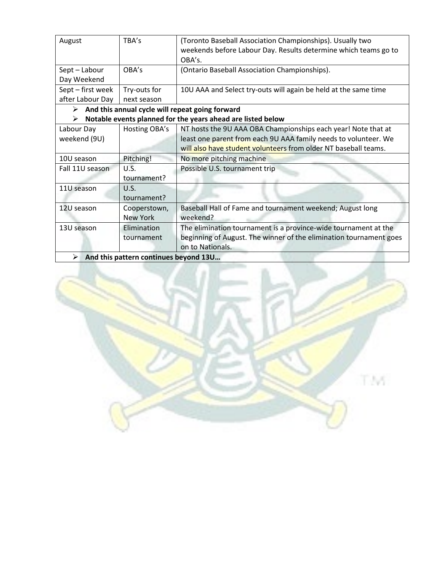| August                                                           | TBA's           | (Toronto Baseball Association Championships). Usually two                                                                             |  |  |  |
|------------------------------------------------------------------|-----------------|---------------------------------------------------------------------------------------------------------------------------------------|--|--|--|
|                                                                  |                 | weekends before Labour Day. Results determine which teams go to                                                                       |  |  |  |
|                                                                  |                 | OBA's.                                                                                                                                |  |  |  |
| Sept-Labour                                                      | OBA's           | (Ontario Baseball Association Championships).                                                                                         |  |  |  |
| Day Weekend                                                      |                 |                                                                                                                                       |  |  |  |
| Sept - first week                                                | Try-outs for    | 10U AAA and Select try-outs will again be held at the same time                                                                       |  |  |  |
| after Labour Day                                                 | next season     |                                                                                                                                       |  |  |  |
| And this annual cycle will repeat going forward<br>➤             |                 |                                                                                                                                       |  |  |  |
| Notable events planned for the years ahead are listed below<br>➤ |                 |                                                                                                                                       |  |  |  |
| Labour Day                                                       | Hosting OBA's   | NT hosts the 9U AAA OBA Championships each year! Note that at                                                                         |  |  |  |
| weekend (9U)                                                     |                 | least one parent from each 9U AAA family needs to volunteer. We                                                                       |  |  |  |
|                                                                  |                 | will also have student volunteers from older NT baseball teams.                                                                       |  |  |  |
| 10U season                                                       | Pitching!       | No more pitching machine                                                                                                              |  |  |  |
| Fall 11U season                                                  | U.S.            | Possible U.S. tournament trip                                                                                                         |  |  |  |
|                                                                  | tournament?     |                                                                                                                                       |  |  |  |
| 11U season                                                       | U.S.            |                                                                                                                                       |  |  |  |
|                                                                  | tournament?     |                                                                                                                                       |  |  |  |
| 12U season                                                       | Cooperstown,    | Baseball Hall of Fame and tournament weekend; August long                                                                             |  |  |  |
|                                                                  | <b>New York</b> | weekend?                                                                                                                              |  |  |  |
| 13U season                                                       | Elimination     | The elimination tournament is a province-wide tournament at the<br>beginning of August. The winner of the elimination tournament goes |  |  |  |
|                                                                  | tournament      |                                                                                                                                       |  |  |  |
|                                                                  |                 | on to Nationals.                                                                                                                      |  |  |  |
| And this pattern continues beyond 13U<br>➤                       |                 |                                                                                                                                       |  |  |  |